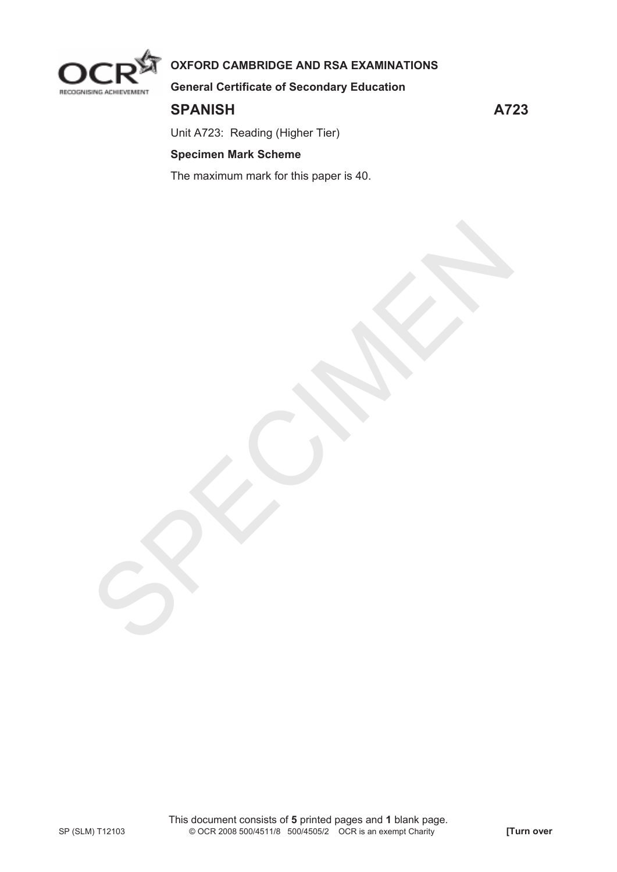

# **OXFORD CAMBRIDGE AND RSA EXAMINATIONS**

**General Certificate of Secondary Education** 

## **SPANISH A723**

Unit A723: Reading (Higher Tier)

## **Specimen Mark Scheme**

The maximum mark for this paper is 40.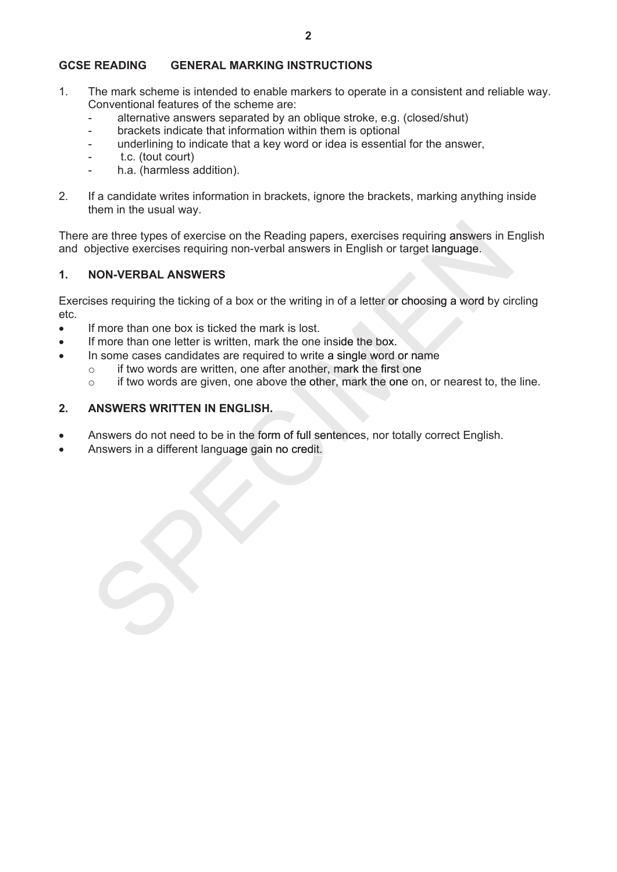### **GCSE READING GENERAL MARKING INSTRUCTIONS**

- 1. The mark scheme is intended to enable markers to operate in a consistent and reliable way. Conventional features of the scheme are:
	- alternative answers separated by an oblique stroke, e.g. (closed/shut)
	- brackets indicate that information within them is optional
	- underlining to indicate that a key word or idea is essential for the answer,
	- t.c. (tout court)
	- h.a. (harmless addition).
- 2. If a candidate writes information in brackets, ignore the brackets, marking anything inside them in the usual way.

There are three types of exercise on the Reading papers, exercises requiring answers in English and objective exercises requiring non-verbal answers in English or target language.

### **1. NON-VERBAL ANSWERS**

Exercises requiring the ticking of a box or the writing in of a letter or choosing a word by circling etc. There are three types of exercise on the Reading papers, exercises requiring answers in Englist<br>and objective exercises requiring non-verbal answers in English or target language.<br>
1. NON-VERBAL ANSWERS<br>
Exercises requirin

- If more than one box is ticked the mark is lost.
- If more than one letter is written, mark the one inside the box.
- In some cases candidates are required to write a single word or name
	- $\circ$  if two words are written, one after another, mark the first one
	- o if two words are given, one above the other, mark the one on, or nearest to, the line.

### **2. ANSWERS WRITTEN IN ENGLISH.**

- Answers do not need to be in the form of full sentences, nor totally correct English.
-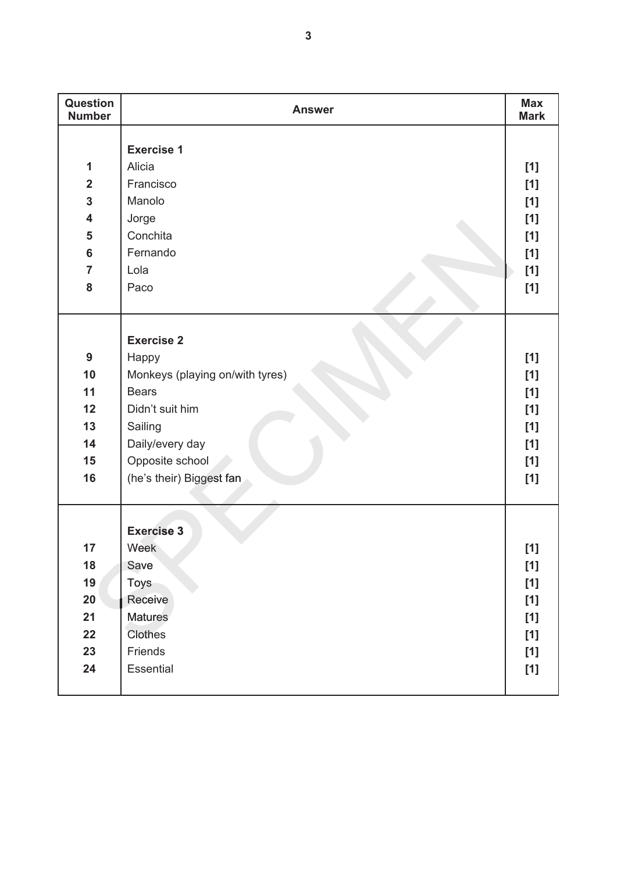| Question<br><b>Number</b> | <b>Answer</b>                   | <b>Max</b><br><b>Mark</b> |
|---------------------------|---------------------------------|---------------------------|
|                           |                                 |                           |
|                           | <b>Exercise 1</b>               |                           |
| 1                         | Alicia                          | $[1]$                     |
| $\overline{2}$            | Francisco                       | $[1]$                     |
| $\mathbf{3}$              | Manolo                          | $[1]$                     |
| $\overline{\mathbf{4}}$   | Jorge                           | $[1]$                     |
| 5                         | Conchita                        | $[1]$                     |
| $6\phantom{a}$            | Fernando                        | [1]                       |
| $\overline{7}$            | Lola                            | [1]                       |
| 8                         | Paco                            | $[1]$                     |
|                           |                                 |                           |
|                           |                                 |                           |
|                           | <b>Exercise 2</b>               |                           |
| 9                         | Happy                           | $[1]$                     |
| 10                        | Monkeys (playing on/with tyres) | [1]                       |
| 11                        | <b>Bears</b>                    | $[1]$                     |
| 12                        | Didn't suit him                 | $[1]$                     |
| 13                        | Sailing                         | $[1]$                     |
| 14                        | Daily/every day                 | [1]                       |
| 15                        | Opposite school                 | [1]                       |
| 16                        | (he's their) Biggest fan        | [1]                       |
|                           |                                 |                           |
|                           |                                 |                           |
|                           | <b>Exercise 3</b>               |                           |
| 17                        | Week                            | [1]                       |
| 18                        | Save                            | $[1]$                     |
| 19                        | <b>Toys</b>                     | [1]                       |
| 20                        | Receive                         | $[1]$                     |
| 21                        | <b>Matures</b>                  | $[1]$                     |
| 22                        | Clothes                         | [1]                       |
| 23                        | Friends                         | $[1]$                     |
| 24                        | Essential                       | [1]                       |
|                           |                                 |                           |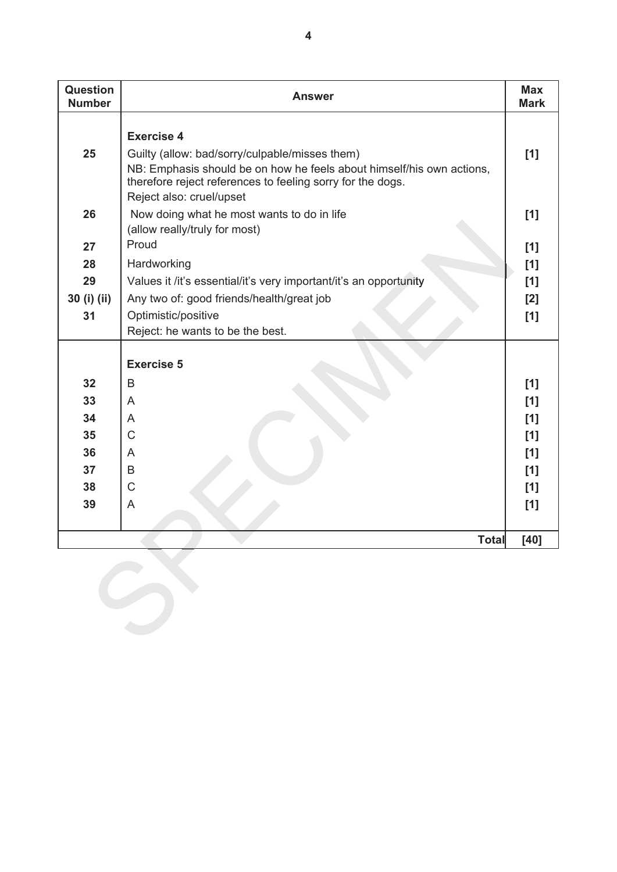| <b>Question</b><br><b>Number</b> | <b>Answer</b>                                                                                                                                                                                                                          | <b>Max</b><br><b>Mark</b>              |
|----------------------------------|----------------------------------------------------------------------------------------------------------------------------------------------------------------------------------------------------------------------------------------|----------------------------------------|
| 25                               | <b>Exercise 4</b><br>Guilty (allow: bad/sorry/culpable/misses them)<br>NB: Emphasis should be on how he feels about himself/his own actions,<br>therefore reject references to feeling sorry for the dogs.<br>Reject also: cruel/upset | [1]                                    |
| 26                               | Now doing what he most wants to do in life<br>(allow really/truly for most)<br>Proud                                                                                                                                                   | [1]                                    |
| 27                               |                                                                                                                                                                                                                                        | [1]                                    |
| 28<br>29                         | Hardworking                                                                                                                                                                                                                            | [1]                                    |
| 30 (i) (ii)                      | Values it /it's essential/it's very important/it's an opportunity<br>Any two of: good friends/health/great job                                                                                                                         | [1]<br>[2]                             |
| 31                               | Optimistic/positive                                                                                                                                                                                                                    | [1]                                    |
|                                  | Reject: he wants to be the best.                                                                                                                                                                                                       |                                        |
| 32<br>33<br>34<br>35<br>36<br>37 | <b>Exercise 5</b><br>B<br>A<br>$\overline{A}$<br>$\mathsf{C}$<br>A<br>B                                                                                                                                                                | [1]<br>[1]<br>[1]<br>[1]<br>[1]<br>[1] |
| 38                               | $\mathsf C$                                                                                                                                                                                                                            | [1]                                    |
| 39                               | A                                                                                                                                                                                                                                      | [1]                                    |
|                                  | <b>Total</b>                                                                                                                                                                                                                           | [40]                                   |
|                                  |                                                                                                                                                                                                                                        |                                        |